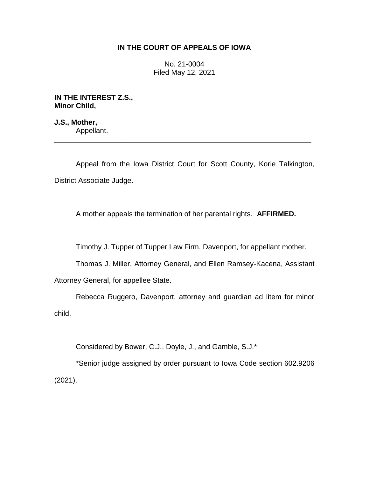## **IN THE COURT OF APPEALS OF IOWA**

No. 21-0004 Filed May 12, 2021

**IN THE INTEREST Z.S., Minor Child,**

**J.S., Mother,** Appellant. \_\_\_\_\_\_\_\_\_\_\_\_\_\_\_\_\_\_\_\_\_\_\_\_\_\_\_\_\_\_\_\_\_\_\_\_\_\_\_\_\_\_\_\_\_\_\_\_\_\_\_\_\_\_\_\_\_\_\_\_\_\_\_\_

Appeal from the Iowa District Court for Scott County, Korie Talkington, District Associate Judge.

A mother appeals the termination of her parental rights. **AFFIRMED.**

Timothy J. Tupper of Tupper Law Firm, Davenport, for appellant mother.

Thomas J. Miller, Attorney General, and Ellen Ramsey-Kacena, Assistant

Attorney General, for appellee State.

Rebecca Ruggero, Davenport, attorney and guardian ad litem for minor child.

Considered by Bower, C.J., Doyle, J., and Gamble, S.J.\*

\*Senior judge assigned by order pursuant to Iowa Code section 602.9206 (2021).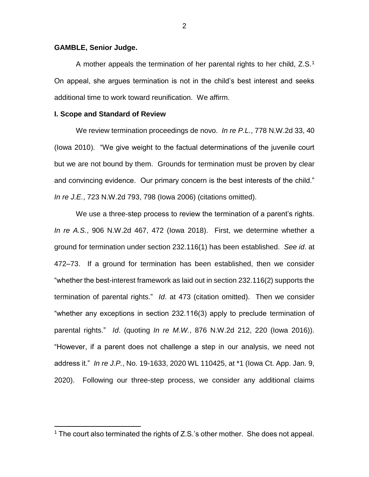## **GAMBLE, Senior Judge.**

 $\overline{a}$ 

A mother appeals the termination of her parental rights to her child,  $Z.S.^1$ On appeal, she argues termination is not in the child's best interest and seeks additional time to work toward reunification. We affirm.

## **I. Scope and Standard of Review**

We review termination proceedings de novo. *In re P.L.*, 778 N.W.2d 33, 40 (Iowa 2010). "We give weight to the factual determinations of the juvenile court but we are not bound by them. Grounds for termination must be proven by clear and convincing evidence. Our primary concern is the best interests of the child." *In re J.E.*, 723 N.W.2d 793, 798 (Iowa 2006) (citations omitted).

We use a three-step process to review the termination of a parent's rights. *In re A.S.*, 906 N.W.2d 467, 472 (Iowa 2018). First, we determine whether a ground for termination under section 232.116(1) has been established. *See id*. at 472–73. If a ground for termination has been established, then we consider "whether the best-interest framework as laid out in section 232.116(2) supports the termination of parental rights." *Id*. at 473 (citation omitted). Then we consider "whether any exceptions in section 232.116(3) apply to preclude termination of parental rights." *Id*. (quoting *In re M.W.*, 876 N.W.2d 212, 220 (Iowa 2016)). "However, if a parent does not challenge a step in our analysis, we need not address it." *In re J.P.*, No. 19-1633, 2020 WL 110425, at \*1 (Iowa Ct. App. Jan. 9, 2020). Following our three-step process, we consider any additional claims

<sup>&</sup>lt;sup>1</sup> The court also terminated the rights of Z.S.'s other mother. She does not appeal.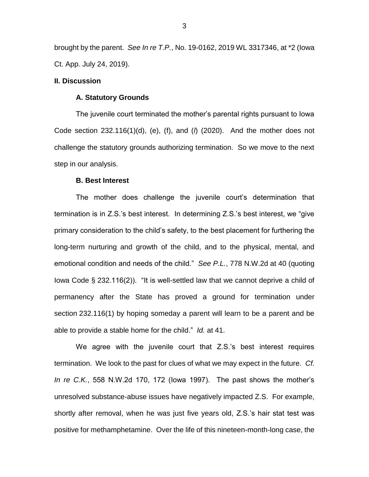brought by the parent. *See In re T.P.*, No. 19-0162, 2019 WL 3317346, at \*2 (Iowa Ct. App. July 24, 2019).

## **II. Discussion**

### **A. Statutory Grounds**

The juvenile court terminated the mother's parental rights pursuant to Iowa Code section 232.116(1)(d), (e), (f), and (*l*) (2020). And the mother does not challenge the statutory grounds authorizing termination. So we move to the next step in our analysis.

#### **B. Best Interest**

The mother does challenge the juvenile court's determination that termination is in Z.S.'s best interest. In determining Z.S.'s best interest, we "give primary consideration to the child's safety, to the best placement for furthering the long-term nurturing and growth of the child, and to the physical, mental, and emotional condition and needs of the child." *See P.L.*, 778 N.W.2d at 40 (quoting Iowa Code § 232.116(2)). "It is well-settled law that we cannot deprive a child of permanency after the State has proved a ground for termination under section 232.116(1) by hoping someday a parent will learn to be a parent and be able to provide a stable home for the child." *Id.* at 41.

We agree with the juvenile court that Z.S.'s best interest requires termination. We look to the past for clues of what we may expect in the future. *Cf. In re C.K.*, 558 N.W.2d 170, 172 (Iowa 1997). The past shows the mother's unresolved substance-abuse issues have negatively impacted Z.S. For example, shortly after removal, when he was just five years old, Z.S.'s hair stat test was positive for methamphetamine. Over the life of this nineteen-month-long case, the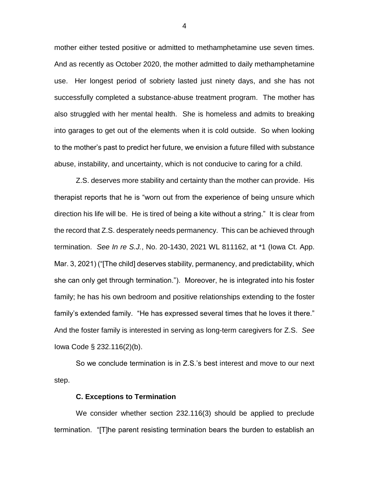mother either tested positive or admitted to methamphetamine use seven times. And as recently as October 2020, the mother admitted to daily methamphetamine use. Her longest period of sobriety lasted just ninety days, and she has not successfully completed a substance-abuse treatment program. The mother has also struggled with her mental health. She is homeless and admits to breaking into garages to get out of the elements when it is cold outside. So when looking to the mother's past to predict her future, we envision a future filled with substance abuse, instability, and uncertainty, which is not conducive to caring for a child.

Z.S. deserves more stability and certainty than the mother can provide. His therapist reports that he is "worn out from the experience of being unsure which direction his life will be. He is tired of being a kite without a string." It is clear from the record that Z.S. desperately needs permanency. This can be achieved through termination. *See In re S.J.*, No. 20-1430, 2021 WL 811162, at \*1 (Iowa Ct. App. Mar. 3, 2021) ("[The child] deserves stability, permanency, and predictability, which she can only get through termination."). Moreover, he is integrated into his foster family; he has his own bedroom and positive relationships extending to the foster family's extended family. "He has expressed several times that he loves it there." And the foster family is interested in serving as long-term caregivers for Z.S. *See* Iowa Code § 232.116(2)(b).

So we conclude termination is in Z.S.'s best interest and move to our next step.

## **C. Exceptions to Termination**

We consider whether section 232.116(3) should be applied to preclude termination. "[T]he parent resisting termination bears the burden to establish an

4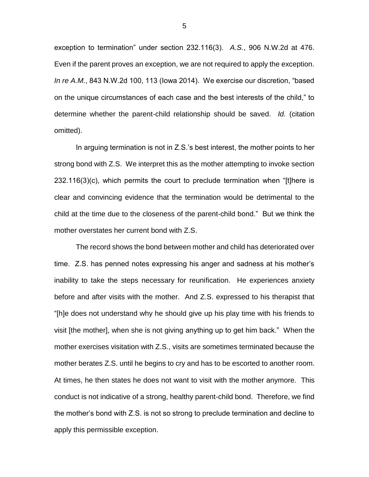exception to termination" under section 232.116(3). *A.S.*, 906 N.W.2d at 476. Even if the parent proves an exception, we are not required to apply the exception. *In re A.M.*, 843 N.W.2d 100, 113 (Iowa 2014). We exercise our discretion, "based on the unique circumstances of each case and the best interests of the child," to determine whether the parent-child relationship should be saved. *Id.* (citation omitted).

In arguing termination is not in Z.S.'s best interest, the mother points to her strong bond with Z.S. We interpret this as the mother attempting to invoke section 232.116(3)(c), which permits the court to preclude termination when "[t]here is clear and convincing evidence that the termination would be detrimental to the child at the time due to the closeness of the parent-child bond." But we think the mother overstates her current bond with Z.S.

The record shows the bond between mother and child has deteriorated over time. Z.S. has penned notes expressing his anger and sadness at his mother's inability to take the steps necessary for reunification. He experiences anxiety before and after visits with the mother. And Z.S. expressed to his therapist that "[h]e does not understand why he should give up his play time with his friends to visit [the mother], when she is not giving anything up to get him back." When the mother exercises visitation with Z.S., visits are sometimes terminated because the mother berates Z.S. until he begins to cry and has to be escorted to another room. At times, he then states he does not want to visit with the mother anymore. This conduct is not indicative of a strong, healthy parent-child bond. Therefore, we find the mother's bond with Z.S. is not so strong to preclude termination and decline to apply this permissible exception.

5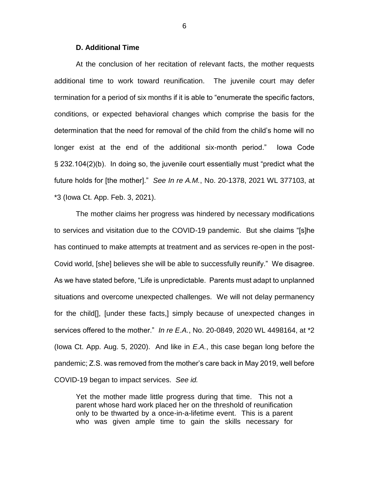## **D. Additional Time**

At the conclusion of her recitation of relevant facts, the mother requests additional time to work toward reunification. The juvenile court may defer termination for a period of six months if it is able to "enumerate the specific factors, conditions, or expected behavioral changes which comprise the basis for the determination that the need for removal of the child from the child's home will no longer exist at the end of the additional six-month period." Iowa Code § 232.104(2)(b). In doing so, the juvenile court essentially must "predict what the future holds for [the mother]." *See In re A.M.*, No. 20-1378, 2021 WL 377103, at \*3 (Iowa Ct. App. Feb. 3, 2021).

The mother claims her progress was hindered by necessary modifications to services and visitation due to the COVID-19 pandemic. But she claims "[s]he has continued to make attempts at treatment and as services re-open in the post-Covid world, [she] believes she will be able to successfully reunify." We disagree. As we have stated before, "Life is unpredictable. Parents must adapt to unplanned situations and overcome unexpected challenges. We will not delay permanency for the child[], [under these facts,] simply because of unexpected changes in services offered to the mother." *In re E.A.*, No. 20-0849, 2020 WL 4498164, at \*2 (Iowa Ct. App. Aug. 5, 2020). And like in *E.A.*, this case began long before the pandemic; Z.S. was removed from the mother's care back in May 2019, well before COVID-19 began to impact services. *See id.*

Yet the mother made little progress during that time. This not a parent whose hard work placed her on the threshold of reunification only to be thwarted by a once-in-a-lifetime event. This is a parent who was given ample time to gain the skills necessary for